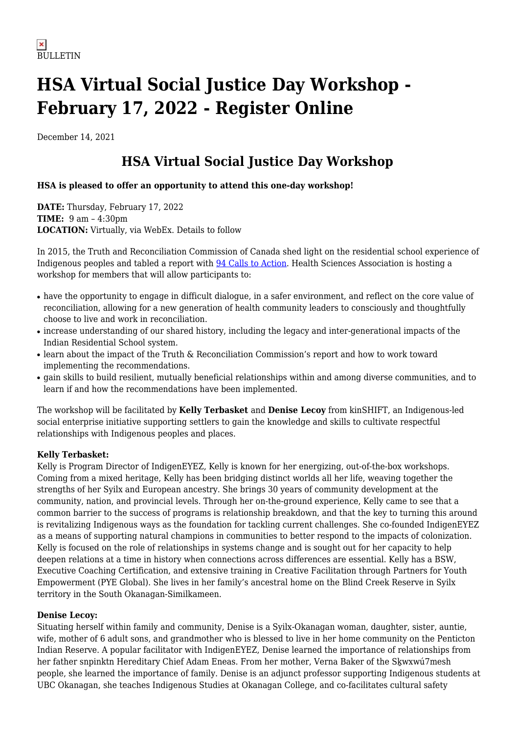# **HSA Virtual Social Justice Day Workshop - February 17, 2022 - Register Online**

December 14, 2021

## **HSA Virtual Social Justice Day Workshop**

### **HSA is pleased to offer an opportunity to attend this one-day workshop!**

**DATE:** Thursday, February 17, 2022 **TIME:** 9 am – 4:30pm **LOCATION:** Virtually, via WebEx. Details to follow

In 2015, the Truth and Reconciliation Commission of Canada shed light on the residential school experience of Indigenous peoples and tabled a report with [94 Calls to Action.](https://www2.gov.bc.ca/assets/gov/british-columbians-our-governments/indigenous-people/aboriginal-peoples-documents/calls_to_action_english2.pdf) Health Sciences Association is hosting a workshop for members that will allow participants to:

- have the opportunity to engage in difficult dialogue, in a safer environment, and reflect on the core value of reconciliation, allowing for a new generation of health community leaders to consciously and thoughtfully choose to live and work in reconciliation.
- increase understanding of our shared history, including the legacy and inter-generational impacts of the Indian Residential School system.
- learn about the impact of the Truth & Reconciliation Commission's report and how to work toward implementing the recommendations.
- gain skills to build resilient, mutually beneficial relationships within and among diverse communities, and to learn if and how the recommendations have been implemented.

The workshop will be facilitated by **Kelly Terbasket** and **Denise Lecoy** from kinSHIFT, an Indigenous-led social enterprise initiative supporting settlers to gain the knowledge and skills to cultivate respectful relationships with Indigenous peoples and places.

#### **Kelly Terbasket:**

Kelly is Program Director of IndigenEYEZ, Kelly is known for her energizing, out-of-the-box workshops. Coming from a mixed heritage, Kelly has been bridging distinct worlds all her life, weaving together the strengths of her Syilx and European ancestry. She brings 30 years of community development at the community, nation, and provincial levels. Through her on-the-ground experience, Kelly came to see that a common barrier to the success of programs is relationship breakdown, and that the key to turning this around is revitalizing Indigenous ways as the foundation for tackling current challenges. She co-founded IndigenEYEZ as a means of supporting natural champions in communities to better respond to the impacts of colonization. Kelly is focused on the role of relationships in systems change and is sought out for her capacity to help deepen relations at a time in history when connections across differences are essential. Kelly has a BSW, Executive Coaching Certification, and extensive training in Creative Facilitation through Partners for Youth Empowerment (PYE Global). She lives in her family's ancestral home on the Blind Creek Reserve in Syilx territory in the South Okanagan-Similkameen.

#### **Denise Lecoy:**

Situating herself within family and community, Denise is a Syilx-Okanagan woman, daughter, sister, auntie, wife, mother of 6 adult sons, and grandmother who is blessed to live in her home community on the Penticton Indian Reserve. A popular facilitator with IndigenEYEZ, Denise learned the importance of relationships from her father snpinktn Hereditary Chief Adam Eneas. From her mother, Verna Baker of the Sḵwxwú7mesh people, she learned the importance of family. Denise is an adjunct professor supporting Indigenous students at UBC Okanagan, she teaches Indigenous Studies at Okanagan College, and co-facilitates cultural safety